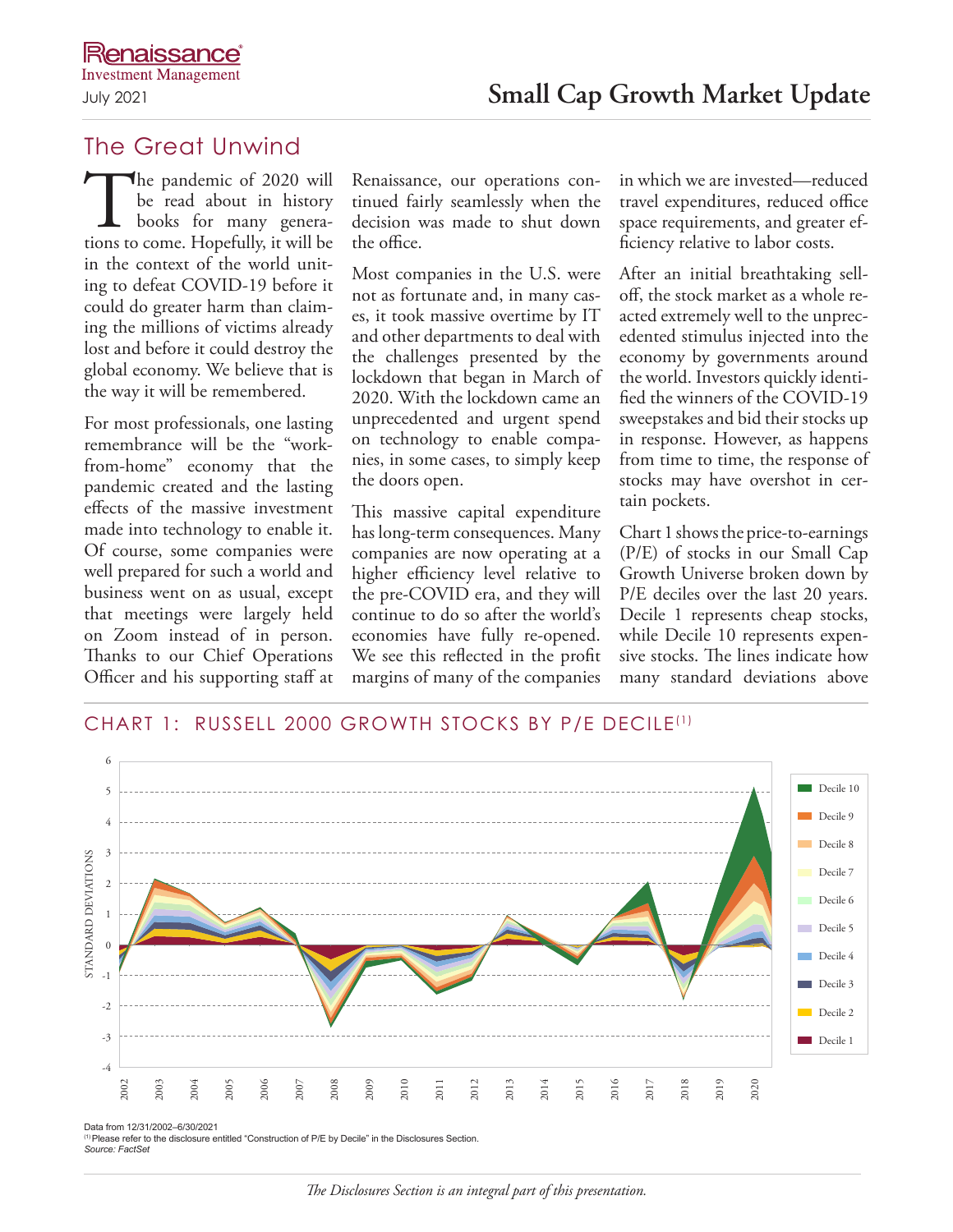# The Great Unwind

The pandemic of 2020 will<br>be read about in history<br>books for many genera-<br>tions to come. Hopefully, it will be be read about in history books for many generain the context of the world uniting to defeat COVID-19 before it could do greater harm than claiming the millions of victims already lost and before it could destroy the global economy. We believe that is the way it will be remembered.

For most professionals, one lasting remembrance will be the "workfrom-home" economy that the pandemic created and the lasting effects of the massive investment made into technology to enable it. Of course, some companies were well prepared for such a world and business went on as usual, except that meetings were largely held on Zoom instead of in person. Thanks to our Chief Operations Officer and his supporting staff at

Renaissance, our operations continued fairly seamlessly when the decision was made to shut down the office.

Most companies in the U.S. were not as fortunate and, in many cases, it took massive overtime by IT and other departments to deal with the challenges presented by the lockdown that began in March of 2020. With the lockdown came an unprecedented and urgent spend on technology to enable companies, in some cases, to simply keep the doors open.

This massive capital expenditure has long-term consequences. Many companies are now operating at a higher efficiency level relative to the pre-COVID era, and they will continue to do so after the world's economies have fully re-opened. We see this reflected in the profit margins of many of the companies in which we are invested—reduced travel expenditures, reduced office space requirements, and greater efficiency relative to labor costs.

After an initial breathtaking selloff, the stock market as a whole reacted extremely well to the unprecedented stimulus injected into the economy by governments around the world. Investors quickly identified the winners of the COVID-19 sweepstakes and bid their stocks up in response. However, as happens from time to time, the response of stocks may have overshot in certain pockets.

Chart 1 shows the price-to-earnings (P/E) of stocks in our Small Cap Growth Universe broken down by P/E deciles over the last 20 years. Decile 1 represents cheap stocks, while Decile 10 represents expensive stocks. The lines indicate how many standard deviations above



(1)Please refer to the disclosure entitled "Construction of P/E by Decile" in the Disclosures Section. *Source: FactSet*

### *The Disclosures Section is an integral part of this presentation.*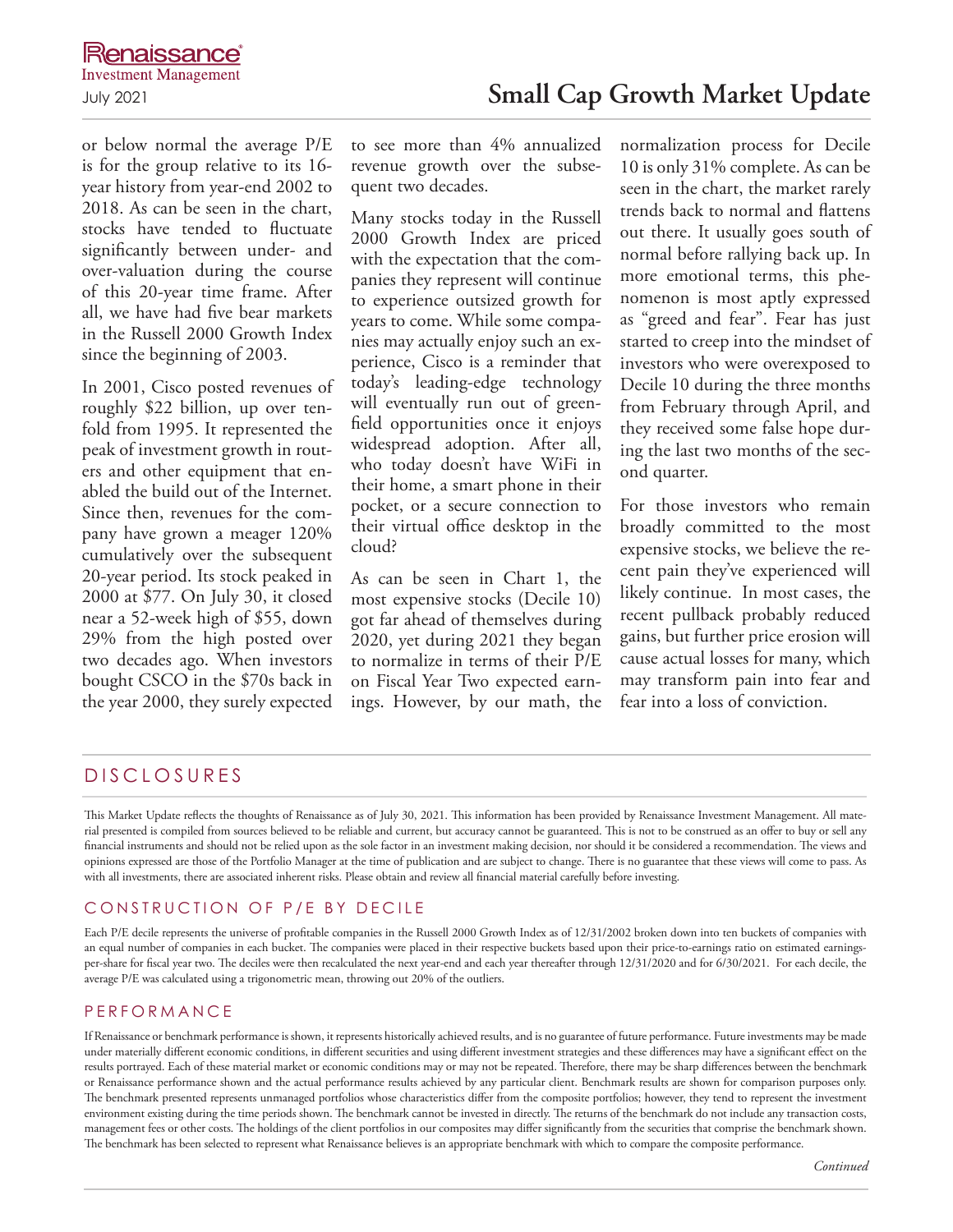# **Renaissance**

or below normal the average P/E is for the group relative to its 16 year history from year-end 2002 to 2018. As can be seen in the chart, stocks have tended to fluctuate significantly between under- and over-valuation during the course of this 20-year time frame. After all, we have had five bear markets in the Russell 2000 Growth Index since the beginning of 2003.

In 2001, Cisco posted revenues of roughly \$22 billion, up over tenfold from 1995. It represented the peak of investment growth in routers and other equipment that enabled the build out of the Internet. Since then, revenues for the company have grown a meager 120% cumulatively over the subsequent 20-year period. Its stock peaked in 2000 at \$77. On July 30, it closed near a 52-week high of \$55, down 29% from the high posted over two decades ago. When investors bought CSCO in the \$70s back in the year 2000, they surely expected

to see more than 4% annualized revenue growth over the subsequent two decades.

Many stocks today in the Russell 2000 Growth Index are priced with the expectation that the companies they represent will continue to experience outsized growth for years to come. While some companies may actually enjoy such an experience, Cisco is a reminder that today's leading-edge technology will eventually run out of greenfield opportunities once it enjoys widespread adoption. After all, who today doesn't have WiFi in their home, a smart phone in their pocket, or a secure connection to their virtual office desktop in the cloud?

As can be seen in Chart 1, the most expensive stocks (Decile 10) got far ahead of themselves during 2020, yet during 2021 they began to normalize in terms of their P/E on Fiscal Year Two expected earnings. However, by our math, the normalization process for Decile 10 is only 31% complete. As can be seen in the chart, the market rarely trends back to normal and flattens out there. It usually goes south of normal before rallying back up. In more emotional terms, this phenomenon is most aptly expressed as "greed and fear". Fear has just started to creep into the mindset of investors who were overexposed to Decile 10 during the three months from February through April, and they received some false hope during the last two months of the second quarter.

For those investors who remain broadly committed to the most expensive stocks, we believe the recent pain they've experienced will likely continue. In most cases, the recent pullback probably reduced gains, but further price erosion will cause actual losses for many, which may transform pain into fear and fear into a loss of conviction.

# DISCLOSURES

This Market Update reflects the thoughts of Renaissance as of July 30, 2021. This information has been provided by Renaissance Investment Management. All material presented is compiled from sources believed to be reliable and current, but accuracy cannot be guaranteed. This is not to be construed as an offer to buy or sell any financial instruments and should not be relied upon as the sole factor in an investment making decision, nor should it be considered a recommendation. The views and opinions expressed are those of the Portfolio Manager at the time of publication and are subject to change. There is no guarantee that these views will come to pass. As with all investments, there are associated inherent risks. Please obtain and review all financial material carefully before investing.

## CONSTRUCTION OF P/E BY DECILE

Each P/E decile represents the universe of profitable companies in the Russell 2000 Growth Index as of 12/31/2002 broken down into ten buckets of companies with an equal number of companies in each bucket. The companies were placed in their respective buckets based upon their price-to-earnings ratio on estimated earningsper-share for fiscal year two. The deciles were then recalculated the next year-end and each year thereafter through 12/31/2020 and for  $6/30/2021$ . For each decile, the average P/E was calculated using a trigonometric mean, throwing out 20% of the outliers.

### PERFORMANCE

If Renaissance or benchmark performance is shown, it represents historically achieved results, and is no guarantee of future performance. Future investments may be made under materially different economic conditions, in different securities and using different investment strategies and these differences may have a significant effect on the results portrayed. Each of these material market or economic conditions may or may not be repeated. Therefore, there may be sharp differences between the benchmark or Renaissance performance shown and the actual performance results achieved by any particular client. Benchmark results are shown for comparison purposes only. The benchmark presented represents unmanaged portfolios whose characteristics differ from the composite portfolios; however, they tend to represent the investment environment existing during the time periods shown. The benchmark cannot be invested in directly. The returns of the benchmark do not include any transaction costs, management fees or other costs. The holdings of the client portfolios in our composites may differ significantly from the securities that comprise the benchmark shown. The benchmark has been selected to represent what Renaissance believes is an appropriate benchmark with which to compare the composite performance.